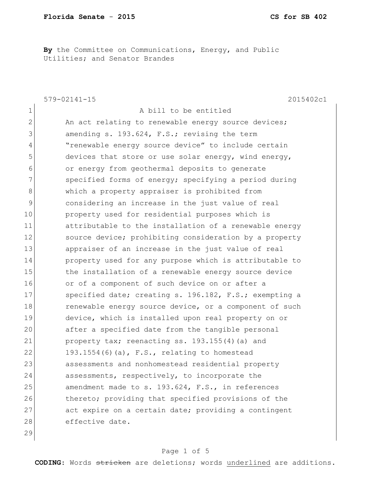**By** the Committee on Communications, Energy, and Public Utilities; and Senator Brandes

|              | $579 - 02141 - 15$<br>2015402c1                        |
|--------------|--------------------------------------------------------|
| $\mathbf 1$  | A bill to be entitled                                  |
| $\mathbf{2}$ | An act relating to renewable energy source devices;    |
| 3            | amending s. 193.624, F.S.; revising the term           |
| 4            | "renewable energy source device" to include certain    |
| 5            | devices that store or use solar energy, wind energy,   |
| 6            | or energy from geothermal deposits to generate         |
| 7            | specified forms of energy; specifying a period during  |
| 8            | which a property appraiser is prohibited from          |
| 9            | considering an increase in the just value of real      |
| 10           | property used for residential purposes which is        |
| 11           | attributable to the installation of a renewable energy |
| 12           | source device; prohibiting consideration by a property |
| 13           | appraiser of an increase in the just value of real     |
| 14           | property used for any purpose which is attributable to |
| 15           | the installation of a renewable energy source device   |
| 16           | or of a component of such device on or after a         |
| 17           | specified date; creating s. 196.182, F.S.; exempting a |
| 18           | renewable energy source device, or a component of such |
| 19           | device, which is installed upon real property on or    |
| 20           | after a specified date from the tangible personal      |
| 21           | property tax; reenacting ss. 193.155(4) (a) and        |
| 22           | 193.1554(6)(a), $F.S.,$ relating to homestead          |
| 23           | assessments and nonhomestead residential property      |
| 24           | assessments, respectively, to incorporate the          |
| 25           | amendment made to s. 193.624, F.S., in references      |
| 26           | thereto; providing that specified provisions of the    |
| 27           | act expire on a certain date; providing a contingent   |
| 28           | effective date.                                        |
| 29           |                                                        |

## Page 1 of 5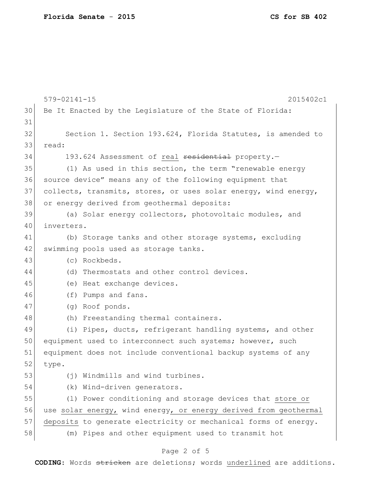|    | $579 - 02141 - 15$<br>2015402c1                                  |
|----|------------------------------------------------------------------|
| 30 | Be It Enacted by the Legislature of the State of Florida:        |
| 31 |                                                                  |
| 32 | Section 1. Section 193.624, Florida Statutes, is amended to      |
| 33 | read:                                                            |
| 34 | 193.624 Assessment of real residential property.-                |
| 35 | (1) As used in this section, the term "renewable energy          |
| 36 | source device" means any of the following equipment that         |
| 37 | collects, transmits, stores, or uses solar energy, wind energy,  |
| 38 | or energy derived from geothermal deposits:                      |
| 39 | (a) Solar energy collectors, photovoltaic modules, and           |
| 40 | inverters.                                                       |
| 41 | (b) Storage tanks and other storage systems, excluding           |
| 42 | swimming pools used as storage tanks.                            |
| 43 | (c) Rockbeds.                                                    |
| 44 | (d) Thermostats and other control devices.                       |
| 45 | (e) Heat exchange devices.                                       |
| 46 | (f) Pumps and fans.                                              |
| 47 | (g) Roof ponds.                                                  |
| 48 | (h) Freestanding thermal containers.                             |
| 49 | (i) Pipes, ducts, refrigerant handling systems, and other        |
| 50 | equipment used to interconnect such systems; however, such       |
| 51 | equipment does not include conventional backup systems of any    |
| 52 | type.                                                            |
| 53 | Windmills and wind turbines.<br>(†)                              |
| 54 | Wind-driven generators.<br>(k)                                   |
| 55 | (1) Power conditioning and storage devices that store or         |
| 56 | use solar energy, wind energy, or energy derived from geothermal |
| 57 | deposits to generate electricity or mechanical forms of energy.  |
| 58 | (m) Pipes and other equipment used to transmit hot               |
|    |                                                                  |

## Page 2 of 5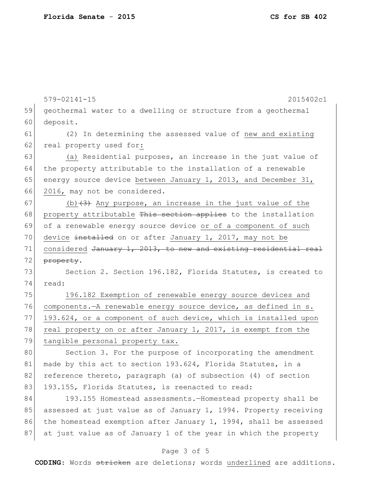579-02141-15 2015402c1 59 geothermal water to a dwelling or structure from a geothermal 60 deposit. 61 (2) In determining the assessed value of new and existing 62 real property used for: 63 (a) Residential purposes, an increase in the just value of 64 the property attributable to the installation of a renewable 65 energy source device between January 1, 2013, and December 31, 66 2016, may not be considered. 67 (b)  $(3)$  Any purpose, an increase in the just value of the 68 property attributable This section applies to the installation 69 of a renewable energy source device or of a component of such 70 device installed on or after January 1, 2017, may not be 71 considered January 1, 2013, to new and existing residential real 72 property. 73 Section 2. Section 196.182, Florida Statutes, is created to 74 read: 75 196.182 Exemption of renewable energy source devices and 76 components.—A renewable energy source device, as defined in s. 77 193.624, or a component of such device, which is installed upon 78 real property on or after January 1, 2017, is exempt from the 79 tangible personal property tax. 80 Section 3. For the purpose of incorporating the amendment 81 made by this act to section 193.624, Florida Statutes, in a 82 reference thereto, paragraph (a) of subsection (4) of section 83 193.155, Florida Statutes, is reenacted to read: 84 193.155 Homestead assessments.—Homestead property shall be

85 assessed at just value as of January 1, 1994. Property receiving 86 the homestead exemption after January 1, 1994, shall be assessed 87 at just value as of January 1 of the year in which the property

## Page 3 of 5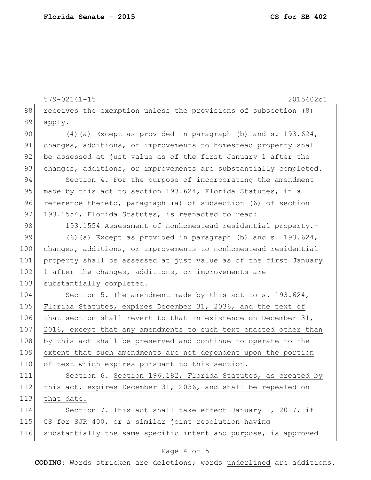|     | $579 - 02141 - 15$<br>2015402c1                                  |
|-----|------------------------------------------------------------------|
| 88  | receives the exemption unless the provisions of subsection (8)   |
| 89  | apply.                                                           |
| 90  | $(4)$ (a) Except as provided in paragraph (b) and s. 193.624,    |
| 91  | changes, additions, or improvements to homestead property shall  |
| 92  | be assessed at just value as of the first January 1 after the    |
| 93  | changes, additions, or improvements are substantially completed. |
| 94  | Section 4. For the purpose of incorporating the amendment        |
| 95  | made by this act to section 193.624, Florida Statutes, in a      |
| 96  | reference thereto, paragraph (a) of subsection (6) of section    |
| 97  | 193.1554, Florida Statutes, is reenacted to read:                |
| 98  | 193.1554 Assessment of nonhomestead residential property.-       |
| 99  | $(6)$ (a) Except as provided in paragraph (b) and s. 193.624,    |
| 100 | changes, additions, or improvements to nonhomestead residential  |
| 101 | property shall be assessed at just value as of the first January |
| 102 | 1 after the changes, additions, or improvements are              |
| 103 | substantially completed.                                         |
| 104 | Section 5. The amendment made by this act to s. 193.624,         |
| 105 | Florida Statutes, expires December 31, 2036, and the text of     |
| 106 | that section shall revert to that in existence on December 31,   |
| 107 | 2016, except that any amendments to such text enacted other than |
| 108 | by this act shall be preserved and continue to operate to the    |
| 109 | extent that such amendments are not dependent upon the portion   |
| 110 | of text which expires pursuant to this section.                  |
| 111 | Section 6. Section 196.182, Florida Statutes, as created by      |
| 112 | this act, expires December 31, 2036, and shall be repealed on    |
| 113 | that date.                                                       |
| 114 | Section 7. This act shall take effect January 1, 2017, if        |
| 115 | CS for SJR 400, or a similar joint resolution having             |
| 116 | substantially the same specific intent and purpose, is approved  |
|     |                                                                  |

## Page 4 of 5